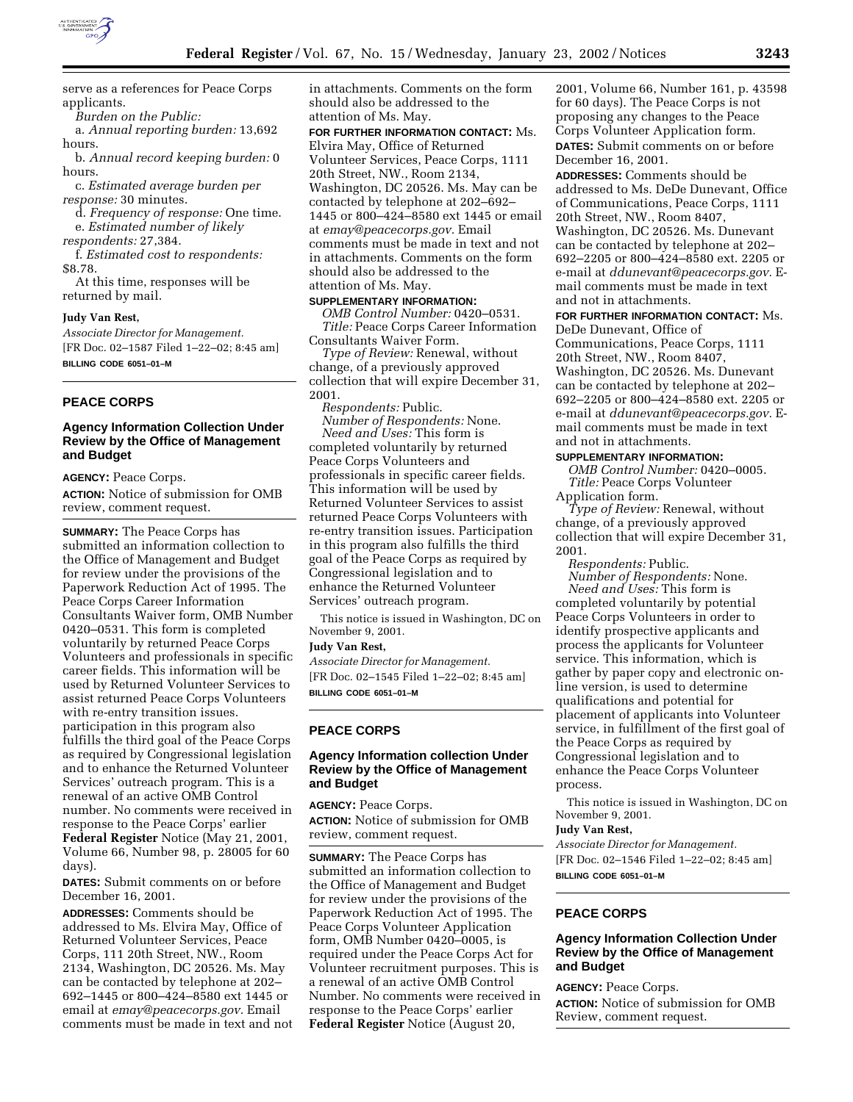

serve as a references for Peace Corps applicants.

*Burden on the Public:*

a. *Annual reporting burden:* 13,692 hours.

b. *Annual record keeping burden:* 0 hours.

c. *Estimated average burden per response:* 30 minutes.

d. *Frequency of response:* One time. e. *Estimated number of likely*

*respondents:* 27,384.

f. *Estimated cost to respondents:* \$8.78.

At this time, responses will be returned by mail.

#### **Judy Van Rest,**

*Associate Director for Management.* [FR Doc. 02–1587 Filed 1–22–02; 8:45 am] **BILLING CODE 6051–01–M**

### **PEACE CORPS**

## **Agency Information Collection Under Review by the Office of Management and Budget**

**AGENCY:** Peace Corps.

**ACTION:** Notice of submission for OMB review, comment request.

**SUMMARY:** The Peace Corps has submitted an information collection to the Office of Management and Budget for review under the provisions of the Paperwork Reduction Act of 1995. The Peace Corps Career Information Consultants Waiver form, OMB Number 0420–0531. This form is completed voluntarily by returned Peace Corps Volunteers and professionals in specific career fields. This information will be used by Returned Volunteer Services to assist returned Peace Corps Volunteers with re-entry transition issues. participation in this program also fulfills the third goal of the Peace Corps as required by Congressional legislation and to enhance the Returned Volunteer Services' outreach program. This is a renewal of an active OMB Control number. No comments were received in response to the Peace Corps' earlier **Federal Register** Notice (May 21, 2001, Volume 66, Number 98, p. 28005 for 60 days).

**DATES:** Submit comments on or before December 16, 2001.

**ADDRESSES:** Comments should be addressed to Ms. Elvira May, Office of Returned Volunteer Services, Peace Corps, 111 20th Street, NW., Room 2134, Washington, DC 20526. Ms. May can be contacted by telephone at 202– 692–1445 or 800–424–8580 ext 1445 or email at *emay@peacecorps.gov.* Email comments must be made in text and not in attachments. Comments on the form should also be addressed to the attention of Ms. May.

**FOR FURTHER INFORMATION CONTACT:** Ms. Elvira May, Office of Returned Volunteer Services, Peace Corps, 1111 20th Street, NW., Room 2134, Washington, DC 20526. Ms. May can be contacted by telephone at 202–692– 1445 or 800–424–8580 ext 1445 or email at *emay@peacecorps.gov.* Email comments must be made in text and not in attachments. Comments on the form should also be addressed to the attention of Ms. May.

# **SUPPLEMENTARY INFORMATION:**

*OMB Control Number:* 0420–0531. *Title:* Peace Corps Career Information Consultants Waiver Form.

*Type of Review:* Renewal, without change, of a previously approved collection that will expire December 31, 2001.

*Respondents:* Public.

*Number of Respondents:* None. *Need and Uses:* This form is completed voluntarily by returned Peace Corps Volunteers and professionals in specific career fields. This information will be used by Returned Volunteer Services to assist returned Peace Corps Volunteers with re-entry transition issues. Participation in this program also fulfills the third goal of the Peace Corps as required by Congressional legislation and to enhance the Returned Volunteer Services' outreach program.

This notice is issued in Washington, DC on November 9, 2001.

**Judy Van Rest,**

*Associate Director for Management.* [FR Doc. 02–1545 Filed 1–22–02; 8:45 am] **BILLING CODE 6051–01–M**

### **PEACE CORPS**

# **Agency Information collection Under Review by the Office of Management and Budget**

**AGENCY:** Peace Corps. **ACTION:** Notice of submission for OMB review, comment request.

**SUMMARY:** The Peace Corps has submitted an information collection to the Office of Management and Budget for review under the provisions of the Paperwork Reduction Act of 1995. The Peace Corps Volunteer Application form, OMB Number 0420–0005, is required under the Peace Corps Act for Volunteer recruitment purposes. This is a renewal of an active OMB Control Number. No comments were received in response to the Peace Corps' earlier **Federal Register** Notice (August 20,

2001, Volume 66, Number 161, p. 43598 for 60 days). The Peace Corps is not proposing any changes to the Peace Corps Volunteer Application form. **DATES:** Submit comments on or before December 16, 2001.

**ADDRESSES:** Comments should be addressed to Ms. DeDe Dunevant, Office of Communications, Peace Corps, 1111 20th Street, NW., Room 8407, Washington, DC 20526. Ms. Dunevant can be contacted by telephone at 202– 692–2205 or 800–424–8580 ext. 2205 or e-mail at *ddunevant@peacecorps.gov.* Email comments must be made in text and not in attachments.

## **FOR FURTHER INFORMATION CONTACT:** Ms. DeDe Dunevant, Office of

Communications, Peace Corps, 1111 20th Street, NW., Room 8407, Washington, DC 20526. Ms. Dunevant can be contacted by telephone at 202– 692–2205 or 800–424–8580 ext. 2205 or e-mail at *ddunevant@peacecorps.gov.* Email comments must be made in text and not in attachments.

# **SUPPLEMENTARY INFORMATION:**

*OMB Control Number:* 0420–0005. *Title:* Peace Corps Volunteer Application form.

*Type of Review:* Renewal, without change, of a previously approved collection that will expire December 31, 2001.

*Respondents:* Public.

*Number of Respondents:* None. *Need and Uses:* This form is completed voluntarily by potential Peace Corps Volunteers in order to identify prospective applicants and process the applicants for Volunteer service. This information, which is gather by paper copy and electronic online version, is used to determine qualifications and potential for placement of applicants into Volunteer service, in fulfillment of the first goal of the Peace Corps as required by Congressional legislation and to enhance the Peace Corps Volunteer process.

This notice is issued in Washington, DC on November 9, 2001.

#### **Judy Van Rest,**

*Associate Director for Management.* [FR Doc. 02–1546 Filed 1–22–02; 8:45 am] **BILLING CODE 6051–01–M**

# **PEACE CORPS**

# **Agency Information Collection Under Review by the Office of Management and Budget**

**AGENCY:** Peace Corps. **ACTION:** Notice of submission for OMB Review, comment request.